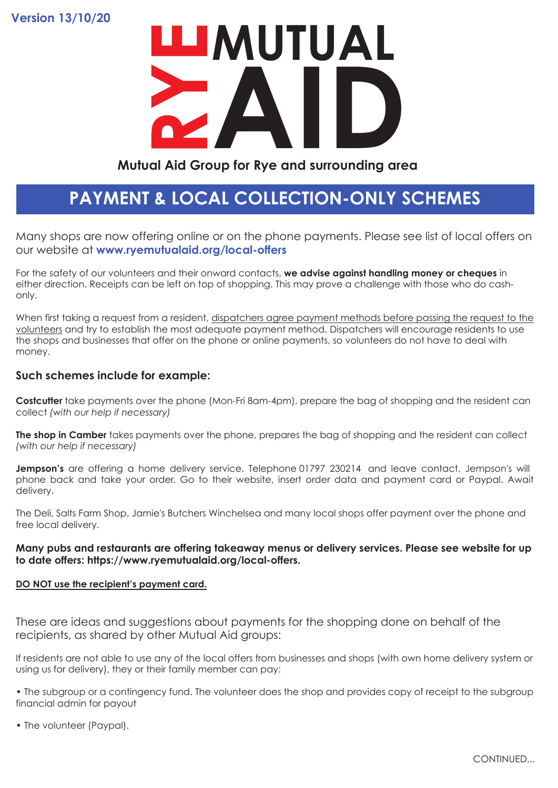**Version 13/10/20**

# **Mutual Aid Group for Rye and surrounding area RYEMUTUAL**

## **Mutual Aid Group for Rye and surrounding area**

# **PAYMENT & LOCAL COLLECTION-ONLY SCHEMES**

Many shops are now offering online or on the phone payments. Please see list of local offers on our website at **www.ryemutualaid.org/local-offers**

For the safety of our volunteers and their onward contacts, **we advise against handling money or cheques** in either direction. Receipts can be left on top of shopping. This may prove a challenge with those who do cashonly.

When first taking a request from a resident, dispatchers agree payment methods before passing the request to the volunteers and try to establish the most adequate payment method. Dispatchers will encourage residents to use the shops and businesses that offer on the phone or online payments, so volunteers do not have to deal with money.

### **Such schemes include for example:**

**Costcutter** take payments over the phone (Mon-Fri 8am-4pm), prepare the bag of shopping and the resident can collect *(with our help if necessary)*

**The shop in Camber** takes payments over the phone, prepares the bag of shopping and the resident can collect *(with our help if necessary)*

**Jempson's** are offering a home delivery service. Telephone 01797 230214 and leave contact. Jempson's will phone back and take your order. Go to their website, insert order data and payment card or Paypal. Await delivery.

The Deli, Salts Farm Shop, Jamie's Butchers Winchelsea and many local shops offer payment over the phone and free local delivery.

### **Many pubs and restaurants are offering takeaway menus or delivery services. Please see website for up to date offers: https://www.ryemutualaid.org/local-offers.**

### **DO NOT use the recipient's payment card.**

These are ideas and suggestions about payments for the shopping done on behalf of the recipients, as shared by other Mutual Aid groups:

If residents are not able to use any of the local offers from businesses and shops (with own home delivery system or using us for delivery), they or their family member can pay:

• The subgroup or a contingency fund. The volunteer does the shop and provides copy of receipt to the subgroup financial admin for payout

• The volunteer (Paypal).